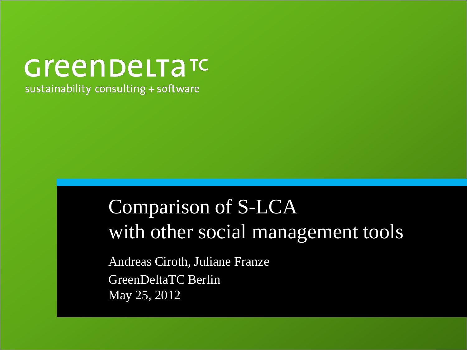# **Green DeLTaTC**

sustainability consulting + software

### Comparison of S-LCA with other social management tools

Andreas Ciroth, Juliane Franze GreenDeltaTC Berlin May 25, 2012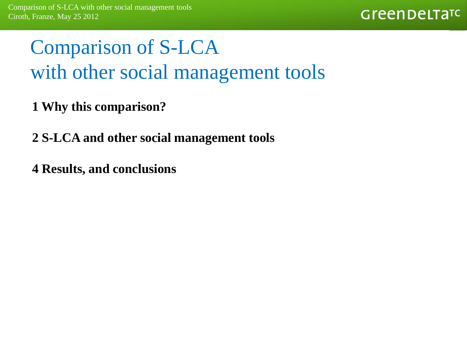### Comparison of S-LCA with other social management tools

- **1 Why this comparison?**
- **2 S-LCA and other social management tools**
- **4 Results, and conclusions**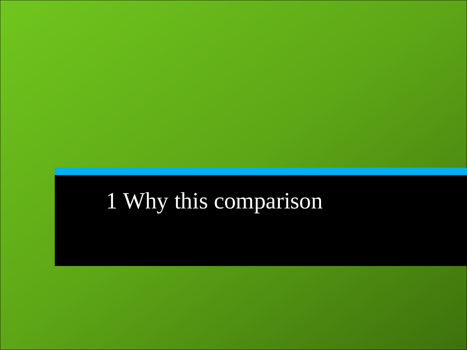# 1 Why this comparison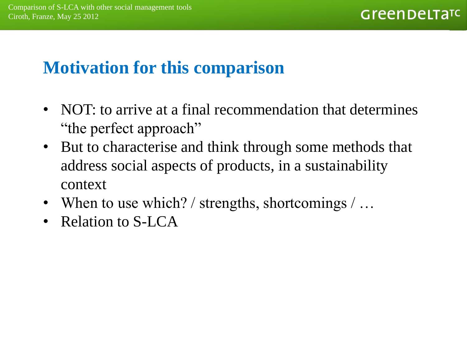#### **Motivation for this comparison**

- NOT: to arrive at a final recommendation that determines "the perfect approach"
- But to characterise and think through some methods that address social aspects of products, in a sustainability context
- When to use which? / strengths, shortcomings  $\sqrt{ } \dots$
- Relation to S-LCA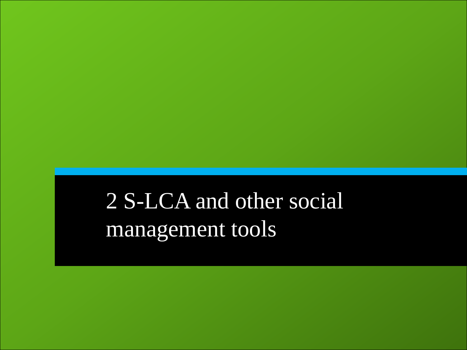2 S-LCA and other social management tools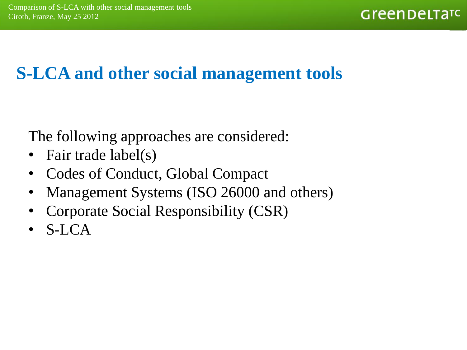#### **S-LCA and other social management tools**

The following approaches are considered:

- Fair trade label(s)
- Codes of Conduct, Global Compact
- Management Systems (ISO 26000 and others)
- Corporate Social Responsibility (CSR)
- S-LCA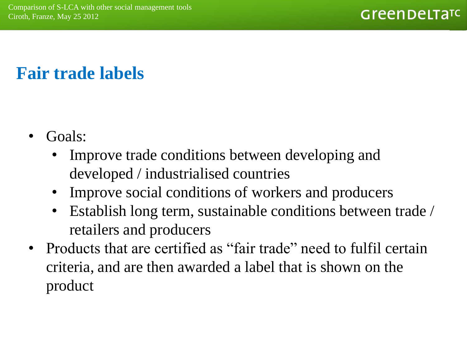#### **Fair trade labels**

- Goals:
	- Improve trade conditions between developing and developed / industrialised countries
	- Improve social conditions of workers and producers
	- Establish long term, sustainable conditions between trade / retailers and producers
- Products that are certified as "fair trade" need to fulfil certain criteria, and are then awarded a label that is shown on the product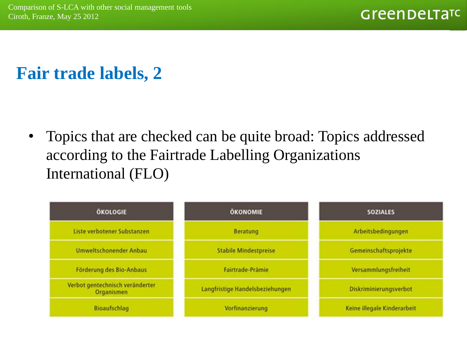#### **Fair trade labels, 2**

• Topics that are checked can be quite broad: Topics addressed according to the Fairtrade Labelling Organizations International (FLO)

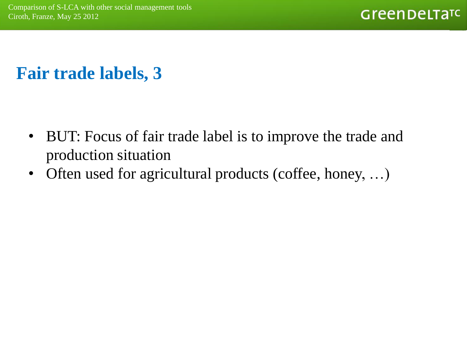#### **Fair trade labels, 3**

- BUT: Focus of fair trade label is to improve the trade and production situation
- Often used for agricultural products (coffee, honey, ...)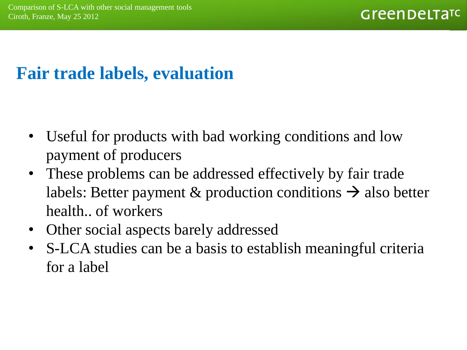#### **Fair trade labels, evaluation**

- Useful for products with bad working conditions and low payment of producers
- These problems can be addressed effectively by fair trade labels: Better payment & production conditions  $\rightarrow$  also better health.. of workers
- Other social aspects barely addressed
- S-LCA studies can be a basis to establish meaningful criteria for a label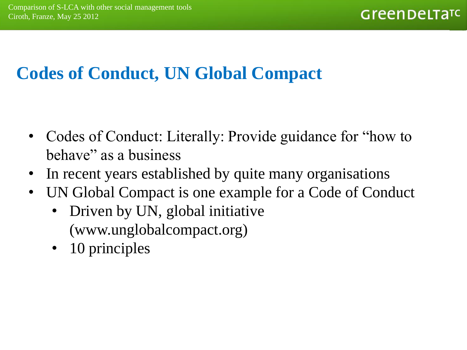#### **Codes of Conduct, UN Global Compact**

- Codes of Conduct: Literally: Provide guidance for "how to behave" as a business
- In recent years established by quite many organisations
- UN Global Compact is one example for a Code of Conduct
	- Driven by UN, global initiative (www.unglobalcompact.org)
	- 10 principles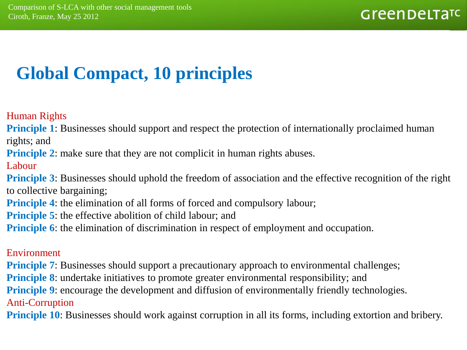#### **Global Compact, 10 principles**

Human Rights

**Principle 1:** Businesses should support and respect the protection of internationally proclaimed human rights; and

**Principle 2:** make sure that they are not complicit in human rights abuses.

Labour

**Principle 3**: Businesses should uphold the freedom of association and the effective recognition of the right to collective bargaining;

**Principle 4:** the elimination of all forms of forced and compulsory labour;

**Principle 5:** the effective abolition of child labour; and

**Principle 6:** the elimination of discrimination in respect of employment and occupation.

#### Environment

**Principle 7:** Businesses should support a precautionary approach to environmental challenges;

**Principle 8:** undertake initiatives to promote greater environmental responsibility; and

**Principle 9:** encourage the development and diffusion of environmentally friendly technologies. Anti-Corruption

**Principle 10**: Businesses should work against corruption in all its forms, including extortion and bribery.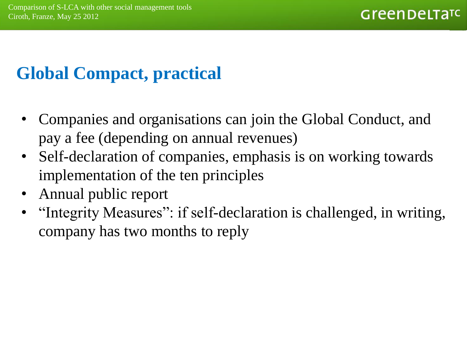#### **Global Compact, practical**

- Companies and organisations can join the Global Conduct, and pay a fee (depending on annual revenues)
- Self-declaration of companies, emphasis is on working towards implementation of the ten principles
- Annual public report
- "Integrity Measures": if self-declaration is challenged, in writing, company has two months to reply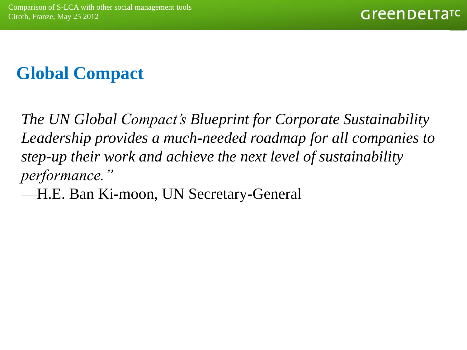#### **Global Compact**

*The UN Global Compact's Blueprint for Corporate Sustainability Leadership provides a much-needed roadmap for all companies to step-up their work and achieve the next level of sustainability performance."*

—H.E. Ban Ki-moon, UN Secretary-General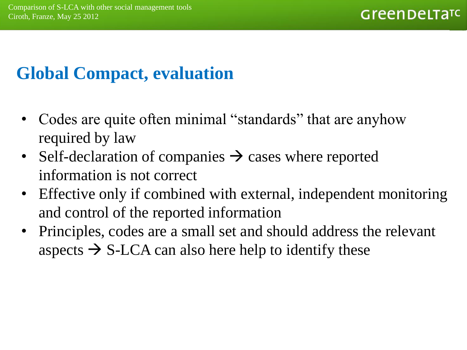#### **Global Compact, evaluation**

- Codes are quite often minimal "standards" that are anyhow required by law
- Self-declaration of companies  $\rightarrow$  cases where reported information is not correct
- Effective only if combined with external, independent monitoring and control of the reported information
- Principles, codes are a small set and should address the relevant aspects  $\rightarrow$  S-LCA can also here help to identify these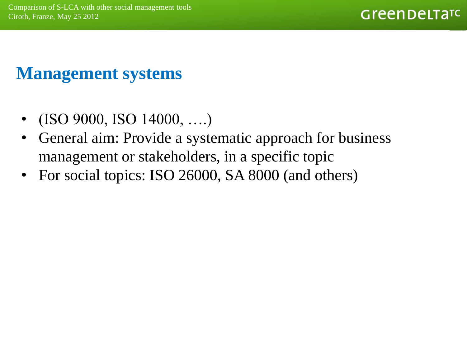#### **Management systems**

- (ISO 9000, ISO 14000, ….)
- General aim: Provide a systematic approach for business management or stakeholders, in a specific topic
- For social topics: ISO 26000, SA 8000 (and others)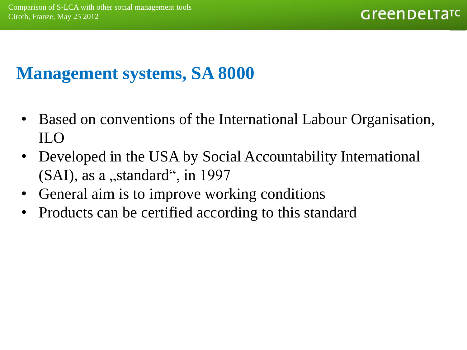#### **Management systems, SA 8000**

- Based on conventions of the International Labour Organisation, ILO
- Developed in the USA by Social Accountability International  $(SAI)$ , as a "standard", in 1997
- General aim is to improve working conditions
- Products can be certified according to this standard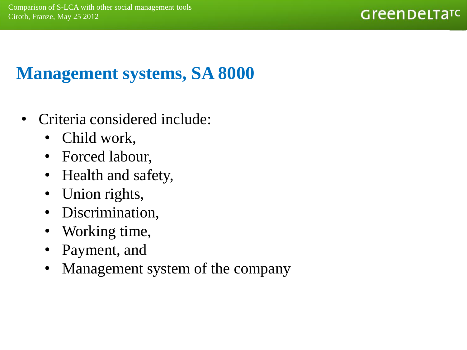#### **Management systems, SA 8000**

- Criteria considered include:
	- Child work,
	- Forced labour,
	- Health and safety,
	- Union rights,
	- Discrimination,
	- Working time,
	- Payment, and
	- Management system of the company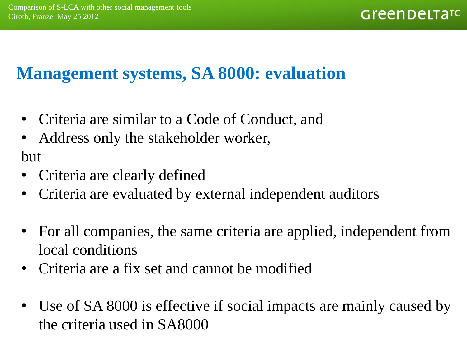#### **Management systems, SA 8000: evaluation**

- Criteria are similar to a Code of Conduct, and
- Address only the stakeholder worker, but
- Criteria are clearly defined
- Criteria are evaluated by external independent auditors
- For all companies, the same criteria are applied, independent from local conditions
- Criteria are a fix set and cannot be modified
- Use of SA 8000 is effective if social impacts are mainly caused by the criteria used in SA8000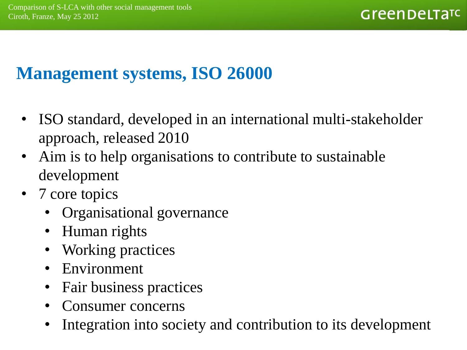#### **Management systems, ISO 26000**

- ISO standard, developed in an international multi-stakeholder approach, released 2010
- Aim is to help organisations to contribute to sustainable development
- 7 core topics
	- Organisational governance
	- Human rights
	- Working practices
	- Environment
	- Fair business practices
	- Consumer concerns
	- Integration into society and contribution to its development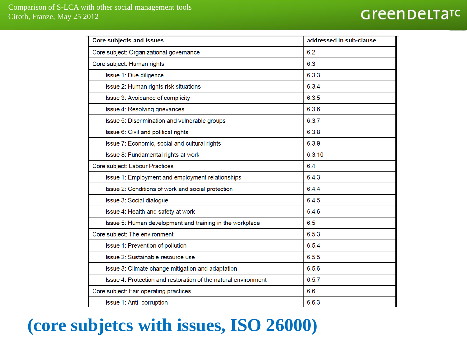| <b>Core subjects and issues</b>                                | addressed in sub-clause |
|----------------------------------------------------------------|-------------------------|
| Core subject: Organizational governance                        | 6.2                     |
| Core subject: Human rights                                     | 6.3                     |
| Issue 1: Due diligence                                         | 6.3.3                   |
| Issue 2: Human rights risk situations                          | 6.3.4                   |
| Issue 3: Avoidance of complicity                               | 6.3.5                   |
| Issue 4: Resolving grievances                                  | 6.3.6                   |
| Issue 5: Discrimination and vulnerable groups                  | 6.3.7                   |
| Issue 6: Civil and political rights                            | 6.3.8                   |
| Issue 7: Economic, social and cultural rights                  | 6.3.9                   |
| Issue 8: Fundamental rights at work                            | 6.3.10                  |
| Core subject: Labour Practices                                 | 6.4                     |
| Issue 1: Employment and employment relationships               | 6.4.3                   |
| Issue 2: Conditions of work and social protection              | 6.4.4                   |
| Issue 3: Social dialogue                                       | 6.4.5                   |
| Issue 4: Health and safety at work                             | 6.4.6                   |
| Issue 5: Human development and training in the workplace       | 6.5                     |
| Core subject: The environment                                  | 6.5.3                   |
| Issue 1: Prevention of pollution                               | 6.5.4                   |
| Issue 2: Sustainable resource use                              | 6.5.5                   |
| Issue 3: Climate change mitigation and adaptation              | 6.5.6                   |
| Issue 4: Protection and restoration of the natural environment | 6.5.7                   |
| Core subject: Fair operating practices                         | 6.6                     |
| Issue 1: Anti-corruption                                       | 6.6.3                   |

#### **(core subjetcs with issues, ISO 26000)**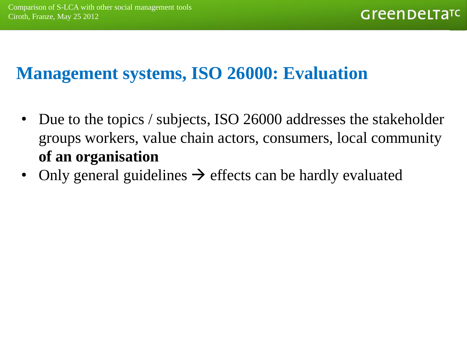#### **Management systems, ISO 26000: Evaluation**

- Due to the topics / subjects, ISO 26000 addresses the stakeholder groups workers, value chain actors, consumers, local community **of an organisation**
- Only general guidelines  $\rightarrow$  effects can be hardly evaluated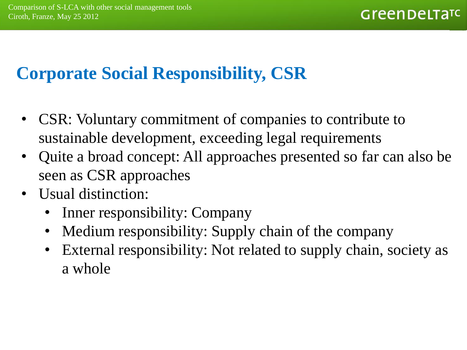#### **Corporate Social Responsibility, CSR**

- CSR: Voluntary commitment of companies to contribute to sustainable development, exceeding legal requirements
- Quite a broad concept: All approaches presented so far can also be seen as CSR approaches
- Usual distinction:
	- Inner responsibility: Company
	- Medium responsibility: Supply chain of the company
	- External responsibility: Not related to supply chain, society as a whole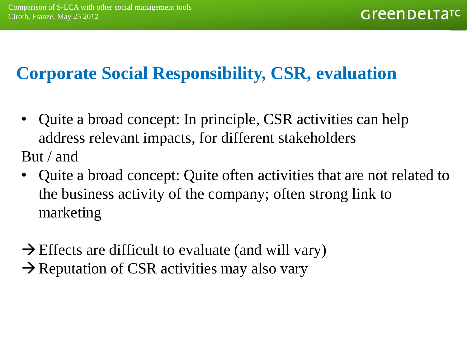#### **Corporate Social Responsibility, CSR, evaluation**

- Quite a broad concept: In principle, CSR activities can help address relevant impacts, for different stakeholders But / and
- Quite a broad concept: Quite often activities that are not related to the business activity of the company; often strong link to marketing
- $\rightarrow$  Effects are difficult to evaluate (and will vary)  $\rightarrow$  Reputation of CSR activities may also vary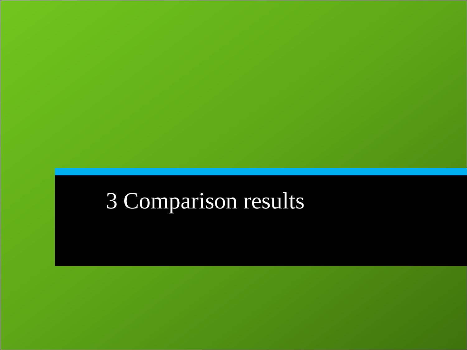# Comparison results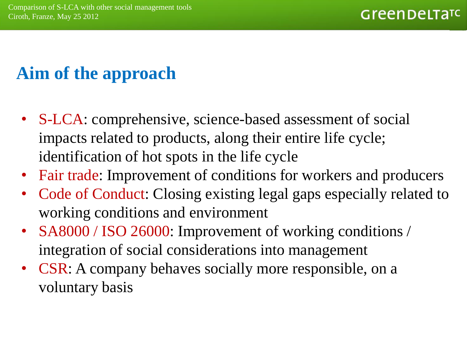#### **Aim of the approach**

- S-LCA: comprehensive, science-based assessment of social impacts related to products, along their entire life cycle; identification of hot spots in the life cycle
- Fair trade: Improvement of conditions for workers and producers
- Code of Conduct: Closing existing legal gaps especially related to working conditions and environment
- SA8000 / ISO 26000: Improvement of working conditions / integration of social considerations into management
- CSR: A company behaves socially more responsible, on a voluntary basis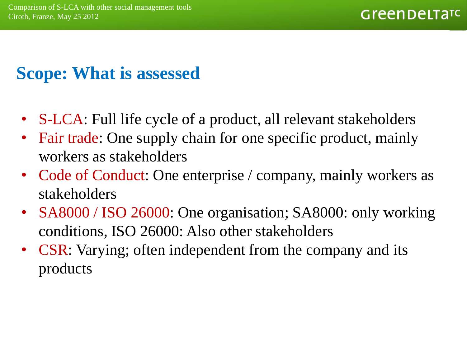#### **Scope: What is assessed**

- S-LCA: Full life cycle of a product, all relevant stakeholders
- Fair trade: One supply chain for one specific product, mainly workers as stakeholders
- Code of Conduct: One enterprise / company, mainly workers as stakeholders
- SA8000 / ISO 26000: One organisation; SA8000: only working conditions, ISO 26000: Also other stakeholders
- CSR: Varying; often independent from the company and its products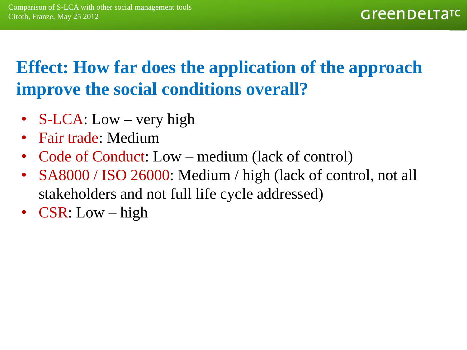#### **Effect: How far does the application of the approach improve the social conditions overall?**

- S-LCA: Low very high
- Fair trade: Medium
- Code of Conduct: Low medium (lack of control)
- SA8000 / ISO 26000: Medium / high (lack of control, not all stakeholders and not full life cycle addressed)
- CSR: Low high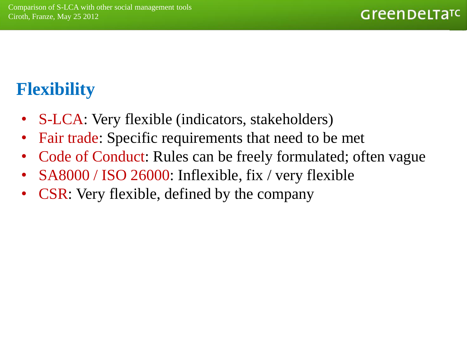#### **Flexibility**

- S-LCA: Very flexible (indicators, stakeholders)
- Fair trade: Specific requirements that need to be met
- Code of Conduct: Rules can be freely formulated; often vague
- SA8000 / ISO 26000: Inflexible, fix / very flexible
- **CSR:** Very flexible, defined by the company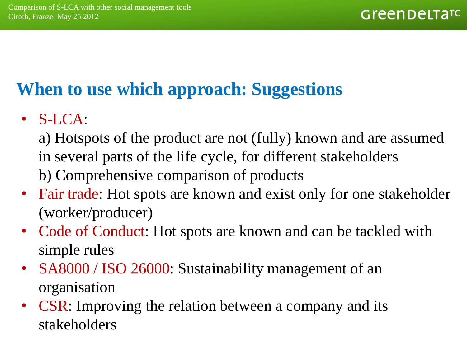#### **When to use which approach: Suggestions**

- S-LCA:
	- a) Hotspots of the product are not (fully) known and are assumed in several parts of the life cycle, for different stakeholders b) Comprehensive comparison of products
- Fair trade: Hot spots are known and exist only for one stakeholder (worker/producer)
- Code of Conduct: Hot spots are known and can be tackled with simple rules
- SA8000 / ISO 26000: Sustainability management of an organisation
- CSR: Improving the relation between a company and its stakeholders